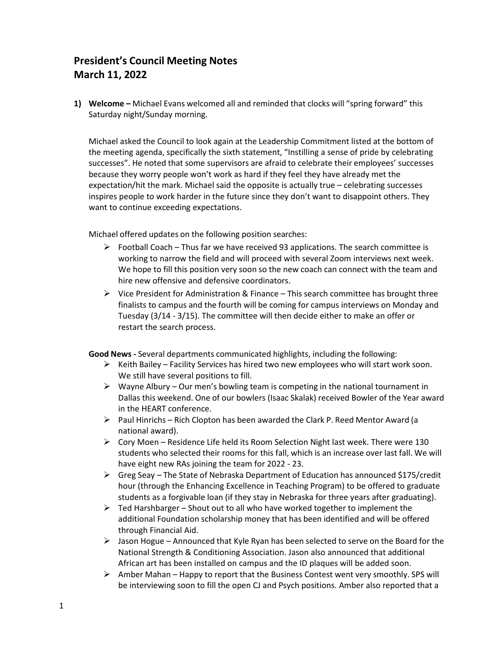## **President's Council Meeting Notes March 11, 2022**

**1) Welcome –** Michael Evans welcomed all and reminded that clocks will "spring forward" this Saturday night/Sunday morning.

Michael asked the Council to look again at the Leadership Commitment listed at the bottom of the meeting agenda, specifically the sixth statement, "Instilling a sense of pride by celebrating successes". He noted that some supervisors are afraid to celebrate their employees' successes because they worry people won't work as hard if they feel they have already met the expectation/hit the mark. Michael said the opposite is actually true – celebrating successes inspires people to work harder in the future since they don't want to disappoint others. They want to continue exceeding expectations.

Michael offered updates on the following position searches:

- $\triangleright$  Football Coach Thus far we have received 93 applications. The search committee is working to narrow the field and will proceed with several Zoom interviews next week. We hope to fill this position very soon so the new coach can connect with the team and hire new offensive and defensive coordinators.
- $\triangleright$  Vice President for Administration & Finance This search committee has brought three finalists to campus and the fourth will be coming for campus interviews on Monday and Tuesday (3/14 - 3/15). The committee will then decide either to make an offer or restart the search process.

**Good News -** Several departments communicated highlights, including the following:

- $\triangleright$  Keith Bailey Facility Services has hired two new employees who will start work soon. We still have several positions to fill.
- $\triangleright$  Wayne Albury Our men's bowling team is competing in the national tournament in Dallas this weekend. One of our bowlers (Isaac Skalak) received Bowler of the Year award in the HEART conference.
- $\triangleright$  Paul Hinrichs Rich Clopton has been awarded the Clark P. Reed Mentor Award (a national award).
- $\triangleright$  Cory Moen Residence Life held its Room Selection Night last week. There were 130 students who selected their rooms for this fall, which is an increase over last fall. We will have eight new RAs joining the team for 2022 - 23.
- $\triangleright$  Greg Seay The State of Nebraska Department of Education has announced \$175/credit hour (through the Enhancing Excellence in Teaching Program) to be offered to graduate students as a forgivable loan (if they stay in Nebraska for three years after graduating).
- $\triangleright$  Ted Harshbarger Shout out to all who have worked together to implement the additional Foundation scholarship money that has been identified and will be offered through Financial Aid.
- $\triangleright$  Jason Hogue Announced that Kyle Ryan has been selected to serve on the Board for the National Strength & Conditioning Association. Jason also announced that additional African art has been installed on campus and the ID plaques will be added soon.
- $\triangleright$  Amber Mahan Happy to report that the Business Contest went very smoothly. SPS will be interviewing soon to fill the open CJ and Psych positions. Amber also reported that a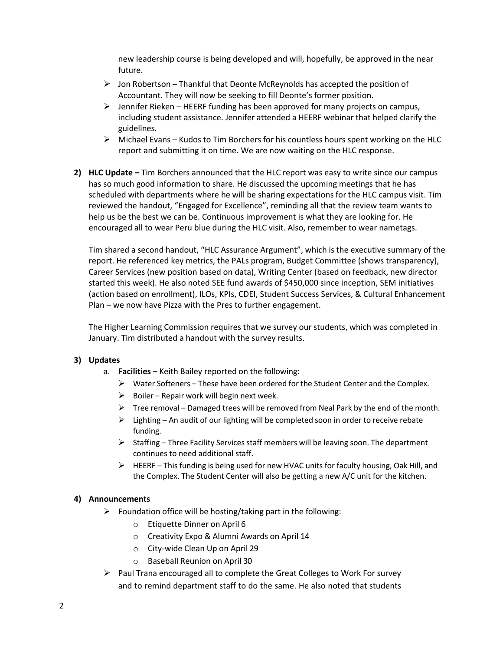new leadership course is being developed and will, hopefully, be approved in the near future.

- $\triangleright$  Jon Robertson Thankful that Deonte McReynolds has accepted the position of Accountant. They will now be seeking to fill Deonte's former position.
- $\triangleright$  Jennifer Rieken HEERF funding has been approved for many projects on campus, including student assistance. Jennifer attended a HEERF webinar that helped clarify the guidelines.
- $\triangleright$  Michael Evans Kudos to Tim Borchers for his countless hours spent working on the HLC report and submitting it on time. We are now waiting on the HLC response.
- **2) HLC Update –** Tim Borchers announced that the HLC report was easy to write since our campus has so much good information to share. He discussed the upcoming meetings that he has scheduled with departments where he will be sharing expectations for the HLC campus visit. Tim reviewed the handout, "Engaged for Excellence", reminding all that the review team wants to help us be the best we can be. Continuous improvement is what they are looking for. He encouraged all to wear Peru blue during the HLC visit. Also, remember to wear nametags.

Tim shared a second handout, "HLC Assurance Argument", which is the executive summary of the report. He referenced key metrics, the PALs program, Budget Committee (shows transparency), Career Services (new position based on data), Writing Center (based on feedback, new director started this week). He also noted SEE fund awards of \$450,000 since inception, SEM initiatives (action based on enrollment), ILOs, KPIs, CDEI, Student Success Services, & Cultural Enhancement Plan – we now have Pizza with the Pres to further engagement.

The Higher Learning Commission requires that we survey our students, which was completed in January. Tim distributed a handout with the survey results.

## **3) Updates**

- a. **Facilities** Keith Bailey reported on the following:
	- $\triangleright$  Water Softeners These have been ordered for the Student Center and the Complex.
	- $\triangleright$  Boiler Repair work will begin next week.
	- $\triangleright$  Tree removal Damaged trees will be removed from Neal Park by the end of the month.
	- $\triangleright$  Lighting An audit of our lighting will be completed soon in order to receive rebate funding.
	- $\triangleright$  Staffing Three Facility Services staff members will be leaving soon. The department continues to need additional staff.
	- $\triangleright$  HEERF This funding is being used for new HVAC units for faculty housing, Oak Hill, and the Complex. The Student Center will also be getting a new A/C unit for the kitchen.

## **4) Announcements**

- $\triangleright$  Foundation office will be hosting/taking part in the following:
	- o Etiquette Dinner on April 6
	- o Creativity Expo & Alumni Awards on April 14
	- o City-wide Clean Up on April 29
	- o Baseball Reunion on April 30
- $\triangleright$  Paul Trana encouraged all to complete the Great Colleges to Work For survey and to remind department staff to do the same. He also noted that students